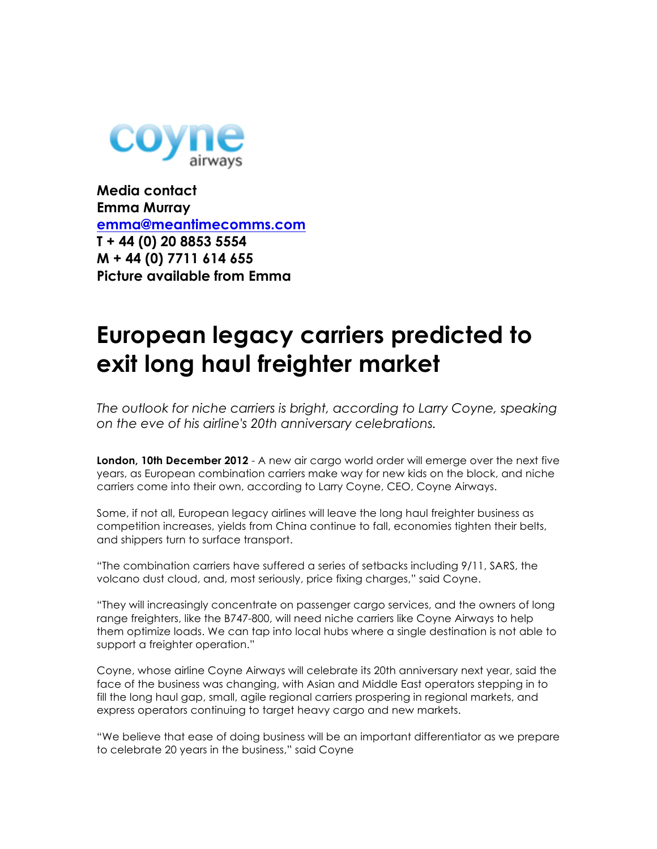

**Media contact Emma Murray emma@meantimecomms.com T + 44 (0) 20 8853 5554 M + 44 (0) 7711 614 655 Picture available from Emma**

## **European legacy carriers predicted to exit long haul freighter market**

*The outlook for niche carriers is bright, according to Larry Coyne, speaking on the eve of his airline's 20th anniversary celebrations.*

**London, 10th December 2012** - A new air cargo world order will emerge over the next five years, as European combination carriers make way for new kids on the block, and niche carriers come into their own, according to Larry Coyne, CEO, Coyne Airways.

Some, if not all, European legacy airlines will leave the long haul freighter business as competition increases, yields from China continue to fall, economies tighten their belts, and shippers turn to surface transport.

"The combination carriers have suffered a series of setbacks including 9/11, SARS, the volcano dust cloud, and, most seriously, price fixing charges," said Coyne.

"They will increasingly concentrate on passenger cargo services, and the owners of long range freighters, like the B747-800, will need niche carriers like Coyne Airways to help them optimize loads. We can tap into local hubs where a single destination is not able to support a freighter operation."

Coyne, whose airline Coyne Airways will celebrate its 20th anniversary next year, said the face of the business was changing, with Asian and Middle East operators stepping in to fill the long haul gap, small, agile regional carriers prospering in regional markets, and express operators continuing to target heavy cargo and new markets.

"We believe that ease of doing business will be an important differentiator as we prepare to celebrate 20 years in the business," said Coyne